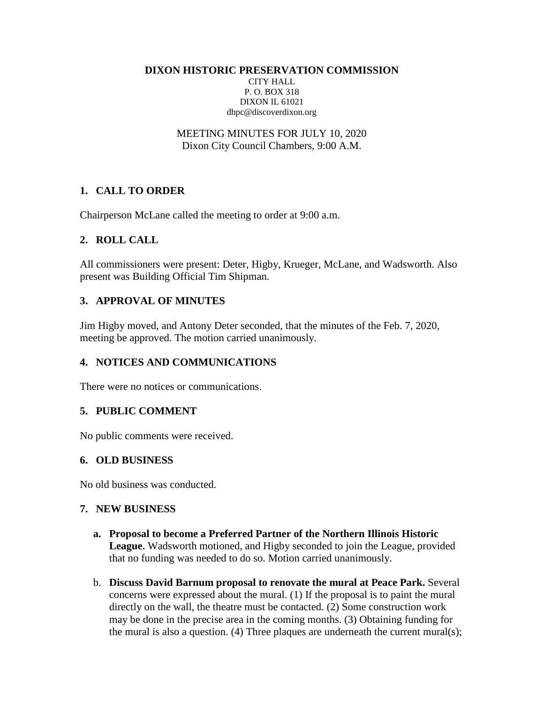**DIXON HISTORIC PRESERVATION COMMISSION**

CITY HALL P. O. BOX 318 DIXON IL 61021 dhpc@discoverdixon.org

MEETING MINUTES FOR JULY 10, 2020 Dixon City Council Chambers, 9:00 A.M.

# **1. CALL TO ORDER**

Chairperson McLane called the meeting to order at 9:00 a.m.

### **2. ROLL CALL**

All commissioners were present: Deter, Higby, Krueger, McLane, and Wadsworth. Also present was Building Official Tim Shipman.

# **3. APPROVAL OF MINUTES**

Jim Higby moved, and Antony Deter seconded, that the minutes of the Feb. 7, 2020, meeting be approved. The motion carried unanimously.

# **4. NOTICES AND COMMUNICATIONS**

There were no notices or communications.

### **5. PUBLIC COMMENT**

No public comments were received.

#### **6. OLD BUSINESS**

No old business was conducted.

#### **7. NEW BUSINESS**

- **a. Proposal to become a Preferred Partner of the Northern Illinois Historic League.** Wadsworth motioned, and Higby seconded to join the League, provided that no funding was needed to do so. Motion carried unanimously.
- b. **Discuss David Barnum proposal to renovate the mural at Peace Park.** Several concerns were expressed about the mural. (1) If the proposal is to paint the mural directly on the wall, the theatre must be contacted. (2) Some construction work may be done in the precise area in the coming months. (3) Obtaining funding for the mural is also a question. (4) Three plaques are underneath the current mural(s);